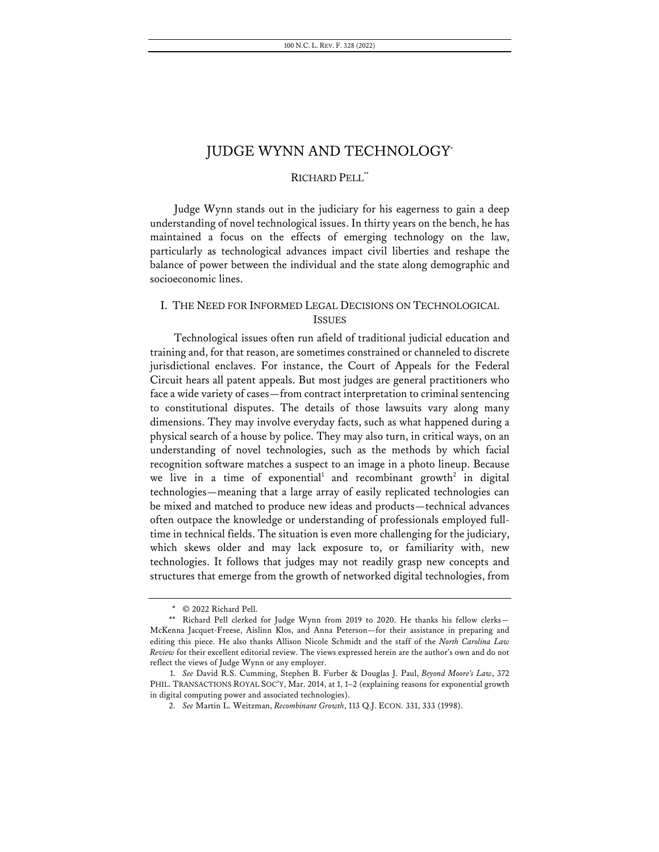# RICHARD PELL\*\*

Judge Wynn stands out in the judiciary for his eagerness to gain a deep understanding of novel technological issues. In thirty years on the bench, he has maintained a focus on the effects of emerging technology on the law, particularly as technological advances impact civil liberties and reshape the balance of power between the individual and the state along demographic and socioeconomic lines.

# I. THE NEED FOR INFORMED LEGAL DECISIONS ON TECHNOLOGICAL ISSUES

Technological issues often run afield of traditional judicial education and training and, for that reason, are sometimes constrained or channeled to discrete jurisdictional enclaves. For instance, the Court of Appeals for the Federal Circuit hears all patent appeals. But most judges are general practitioners who face a wide variety of cases—from contract interpretation to criminal sentencing to constitutional disputes. The details of those lawsuits vary along many dimensions. They may involve everyday facts, such as what happened during a physical search of a house by police. They may also turn, in critical ways, on an understanding of novel technologies, such as the methods by which facial recognition software matches a suspect to an image in a photo lineup. Because we live in a time of exponential<sup>1</sup> and recombinant growth<sup>2</sup> in digital technologies—meaning that a large array of easily replicated technologies can be mixed and matched to produce new ideas and products—technical advances often outpace the knowledge or understanding of professionals employed fulltime in technical fields. The situation is even more challenging for the judiciary, which skews older and may lack exposure to, or familiarity with, new technologies. It follows that judges may not readily grasp new concepts and structures that emerge from the growth of networked digital technologies, from

<sup>\*</sup> © 2022 Richard Pell.

<sup>\*\*</sup> Richard Pell clerked for Judge Wynn from 2019 to 2020. He thanks his fellow clerks— McKenna Jacquet-Freese, Aislinn Klos, and Anna Peterson—for their assistance in preparing and editing this piece. He also thanks Allison Nicole Schmidt and the staff of the *North Carolina Law Review* for their excellent editorial review. The views expressed herein are the author's own and do not reflect the views of Judge Wynn or any employer.

<sup>1.</sup> *See* David R.S. Cumming, Stephen B. Furber & Douglas J. Paul, *Beyond Moore's Law*, 372 PHIL. TRANSACTIONS ROYAL SOC'Y, Mar. 2014, at 1, 1–2 (explaining reasons for exponential growth in digital computing power and associated technologies).

<sup>2.</sup> *See* Martin L. Weitzman, *Recombinant Growth*, 113 Q.J. ECON. 331, 333 (1998).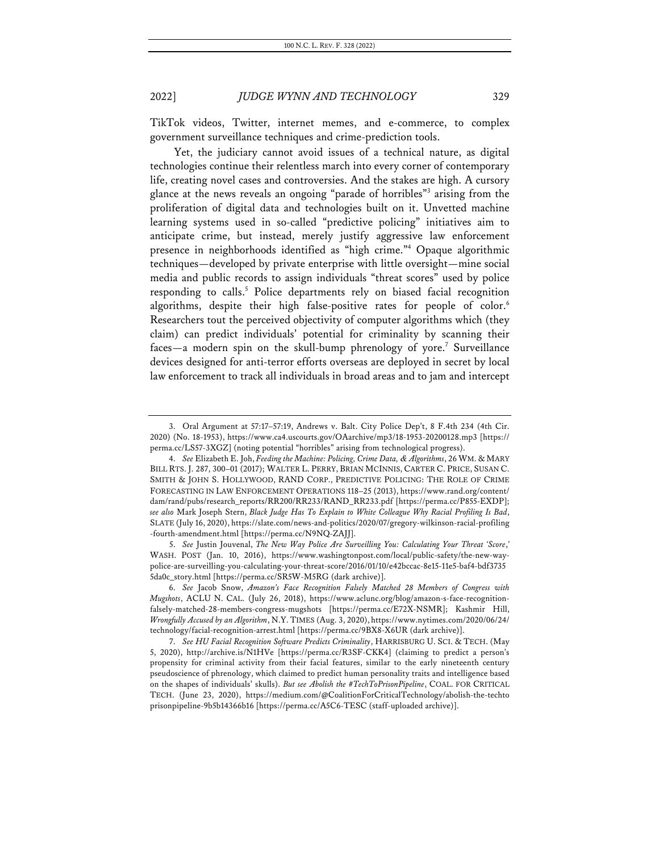TikTok videos, Twitter, internet memes, and e-commerce, to complex government surveillance techniques and crime-prediction tools.

Yet, the judiciary cannot avoid issues of a technical nature, as digital technologies continue their relentless march into every corner of contemporary life, creating novel cases and controversies. And the stakes are high. A cursory glance at the news reveals an ongoing "parade of horribles"3 arising from the proliferation of digital data and technologies built on it. Unvetted machine learning systems used in so-called "predictive policing" initiatives aim to anticipate crime, but instead, merely justify aggressive law enforcement presence in neighborhoods identified as "high crime."4 Opaque algorithmic techniques—developed by private enterprise with little oversight—mine social media and public records to assign individuals "threat scores" used by police responding to calls.<sup>5</sup> Police departments rely on biased facial recognition algorithms, despite their high false-positive rates for people of color.<sup>6</sup> Researchers tout the perceived objectivity of computer algorithms which (they claim) can predict individuals' potential for criminality by scanning their faces—a modern spin on the skull-bump phrenology of yore.<sup>7</sup> Surveillance devices designed for anti-terror efforts overseas are deployed in secret by local law enforcement to track all individuals in broad areas and to jam and intercept

5. *See* Justin Jouvenal, *The New Way Police Are Surveilling You: Calculating Your Threat 'Score*,*'* WASH. POST (Jan. 10, 2016), https://www.washingtonpost.com/local/public-safety/the-new-waypolice-are-surveilling-you-calculating-your-threat-score/2016/01/10/e42bccac-8e15-11e5-baf4-bdf3735 5da0c\_story.html [https://perma.cc/SR5W-M5RG (dark archive)].

<sup>3.</sup> Oral Argument at 57:17–57:19, Andrews v. Balt. City Police Dep't, 8 F.4th 234 (4th Cir. 2020) (No. 18-1953), https://www.ca4.uscourts.gov/OAarchive/mp3/18-1953-20200128.mp3 [https:// perma.cc/LS57-3XGZ] (noting potential "horribles" arising from technological progress).

<sup>4.</sup> *See* Elizabeth E. Joh, *Feeding the Machine: Policing, Crime Data, & Algorithms*, 26 WM. & MARY BILL RTS. J. 287, 300–01 (2017); WALTER L. PERRY, BRIAN MCINNIS, CARTER C. PRICE, SUSAN C. SMITH & JOHN S. HOLLYWOOD, RAND CORP., PREDICTIVE POLICING: THE ROLE OF CRIME FORECASTING IN LAW ENFORCEMENT OPERATIONS 118–25 (2013), https://www.rand.org/content/ dam/rand/pubs/research\_reports/RR200/RR233/RAND\_RR233.pdf [https://perma.cc/P855-EXDP]; *see also* Mark Joseph Stern, *Black Judge Has To Explain to White Colleague Why Racial Profiling Is Bad*, SLATE (July 16, 2020), https://slate.com/news-and-politics/2020/07/gregory-wilkinson-racial-profiling -fourth-amendment.html [https://perma.cc/N9NQ-ZAJJ].

<sup>6.</sup> *See* Jacob Snow, *Amazon's Face Recognition Falsely Matched 28 Members of Congress with Mugshots*, ACLU N. CAL. (July 26, 2018), https://www.aclunc.org/blog/amazon-s-face-recognitionfalsely-matched-28-members-congress-mugshots [https://perma.cc/E72X-NSMR]; Kashmir Hill, *Wrongfully Accused by an Algorithm*, N.Y. TIMES (Aug. 3, 2020), https://www.nytimes.com/2020/06/24/ technology/facial-recognition-arrest.html [https://perma.cc/9BX8-X6UR (dark archive)].

<sup>7.</sup> *See HU Facial Recognition Software Predicts Criminality*, HARRISBURG U. SCI. & TECH. (May 5, 2020), http://archive.is/N1HVe [https://perma.cc/R3SF-CKK4] (claiming to predict a person's propensity for criminal activity from their facial features, similar to the early nineteenth century pseudoscience of phrenology, which claimed to predict human personality traits and intelligence based on the shapes of individuals' skulls). *But see Abolish the #TechToPrisonPipeline*, COAL. FOR CRITICAL TECH. (June 23, 2020), https://medium.com/@CoalitionForCriticalTechnology/abolish-the-techto prisonpipeline-9b5b14366b16 [https://perma.cc/A5C6-TESC (staff-uploaded archive)].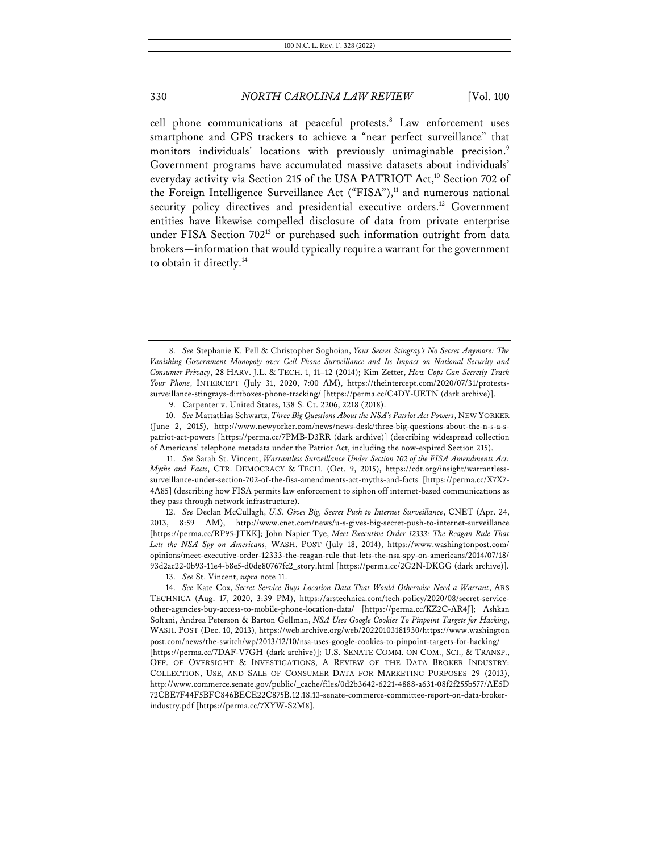cell phone communications at peaceful protests.<sup>8</sup> Law enforcement uses smartphone and GPS trackers to achieve a "near perfect surveillance" that monitors individuals' locations with previously unimaginable precision.<sup>9</sup> Government programs have accumulated massive datasets about individuals' everyday activity via Section 215 of the USA PATRIOT Act, <sup>10</sup> Section 702 of the Foreign Intelligence Surveillance Act ("FISA"),<sup>11</sup> and numerous national security policy directives and presidential executive orders.<sup>12</sup> Government entities have likewise compelled disclosure of data from private enterprise under FISA Section 702<sup>13</sup> or purchased such information outright from data brokers—information that would typically require a warrant for the government to obtain it directly.14

11. *See* Sarah St. Vincent, *Warrantless Surveillance Under Section 702 of the FISA Amendments Act: Myths and Facts*, CTR. DEMOCRACY & TECH. (Oct. 9, 2015), https://cdt.org/insight/warrantlesssurveillance-under-section-702-of-the-fisa-amendments-act-myths-and-facts [https://perma.cc/X7X7- 4A85] (describing how FISA permits law enforcement to siphon off internet-based communications as they pass through network infrastructure).

12. *See* Declan McCullagh, *U.S. Gives Big, Secret Push to Internet Surveillance*, CNET (Apr. 24, 2013, 8:59 AM), http://www.cnet.com/news/u-s-gives-big-secret-push-to-internet-surveillance [https://perma.cc/RP95-JTKK]; John Napier Tye, *Meet Executive Order 12333: The Reagan Rule That Lets the NSA Spy on Americans*, WASH. POST (July 18, 2014), https://www.washingtonpost.com/ opinions/meet-executive-order-12333-the-reagan-rule-that-lets-the-nsa-spy-on-americans/2014/07/18/ 93d2ac22-0b93-11e4-b8e5-d0de80767fc2\_story.html [https://perma.cc/2G2N-DKGG (dark archive)].

13. *See* St. Vincent, *supra* note 11.

<sup>8.</sup> *See* Stephanie K. Pell & Christopher Soghoian, *Your Secret Stingray's No Secret Anymore: The Vanishing Government Monopoly over Cell Phone Surveillance and Its Impact on National Security and Consumer Privacy*, 28 HARV. J.L. & TECH. 1, 11–12 (2014); Kim Zetter, *How Cops Can Secretly Track Your Phone*, INTERCEPT (July 31, 2020, 7:00 AM), https://theintercept.com/2020/07/31/protestssurveillance-stingrays-dirtboxes-phone-tracking/ [https://perma.cc/C4DY-UETN (dark archive)].

<sup>9.</sup> Carpenter v. United States, 138 S. Ct. 2206, 2218 (2018).

<sup>10.</sup> *See* Mattathias Schwartz, *Three Big Questions About the NSA's Patriot Act Powers*, NEW YORKER (June 2, 2015), http://www.newyorker.com/news/news-desk/three-big-questions-about-the-n-s-a-spatriot-act-powers [https://perma.cc/7PMB-D3RR (dark archive)] (describing widespread collection of Americans' telephone metadata under the Patriot Act, including the now-expired Section 215).

<sup>14.</sup> *See* Kate Cox, *Secret Service Buys Location Data That Would Otherwise Need a Warrant*, ARS TECHNICA (Aug. 17, 2020, 3:39 PM), https://arstechnica.com/tech-policy/2020/08/secret-serviceother-agencies-buy-access-to-mobile-phone-location-data/ [https://perma.cc/KZ2C-AR4J]; Ashkan Soltani, Andrea Peterson & Barton Gellman, *NSA Uses Google Cookies To Pinpoint Targets for Hacking*, WASH. POST (Dec. 10, 2013), https://web.archive.org/web/20220103181930/https://www.washington post.com/news/the-switch/wp/2013/12/10/nsa-uses-google-cookies-to-pinpoint-targets-for-hacking/ [https://perma.cc/7DAF-V7GH (dark archive)]; U.S. SENATE COMM. ON COM., SCI., & TRANSP., OFF. OF OVERSIGHT & INVESTIGATIONS, A REVIEW OF THE DATA BROKER INDUSTRY: COLLECTION, USE, AND SALE OF CONSUMER DATA FOR MARKETING PURPOSES 29 (2013), http://www.commerce.senate.gov/public/\_cache/files/0d2b3642-6221-4888-a631-08f2f255b577/AE5D 72CBE7F44F5BFC846BECE22C875B.12.18.13-senate-commerce-committee-report-on-data-brokerindustry.pdf [https://perma.cc/7XYW-S2M8].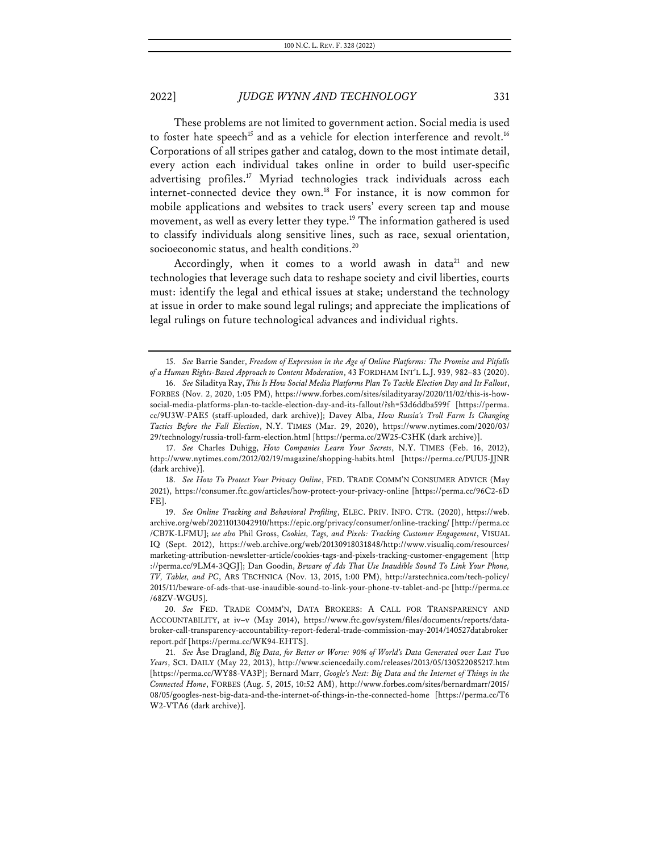These problems are not limited to government action. Social media is used to foster hate speech<sup>15</sup> and as a vehicle for election interference and revolt.<sup>16</sup> Corporations of all stripes gather and catalog, down to the most intimate detail, every action each individual takes online in order to build user-specific advertising profiles.<sup>17</sup> Myriad technologies track individuals across each internet-connected device they own.<sup>18</sup> For instance, it is now common for mobile applications and websites to track users' every screen tap and mouse movement, as well as every letter they type.<sup>19</sup> The information gathered is used to classify individuals along sensitive lines, such as race, sexual orientation, socioeconomic status, and health conditions.<sup>20</sup>

Accordingly, when it comes to a world awash in data<sup>21</sup> and new technologies that leverage such data to reshape society and civil liberties, courts must: identify the legal and ethical issues at stake; understand the technology at issue in order to make sound legal rulings; and appreciate the implications of legal rulings on future technological advances and individual rights.

17. *See* Charles Duhigg, *How Companies Learn Your Secrets*, N.Y. TIMES (Feb. 16, 2012), http://www.nytimes.com/2012/02/19/magazine/shopping-habits.html [https://perma.cc/PUU5-JJNR (dark archive)].

18. *See How To Protect Your Privacy Online*, FED. TRADE COMM'N CONSUMER ADVICE (May 2021), https://consumer.ftc.gov/articles/how-protect-your-privacy-online [https://perma.cc/96C2-6D FE].

<sup>15.</sup> *See* Barrie Sander, *Freedom of Expression in the Age of Online Platforms: The Promise and Pitfalls of a Human Rights-Based Approach to Content Moderation*, 43 FORDHAM INT'L L.J. 939, 982–83 (2020).

<sup>16.</sup> *See* Siladitya Ray, *This Is How Social Media Platforms Plan To Tackle Election Day and Its Fallout*, FORBES (Nov. 2, 2020, 1:05 PM), https://www.forbes.com/sites/siladityaray/2020/11/02/this-is-howsocial-media-platforms-plan-to-tackle-election-day-and-its-fallout/?sh=53d6ddba599f [https://perma. cc/9U3W-PAE5 (staff-uploaded, dark archive)]; Davey Alba, *How Russia's Troll Farm Is Changing Tactics Before the Fall Election*, N.Y. TIMES (Mar. 29, 2020), https://www.nytimes.com/2020/03/ 29/technology/russia-troll-farm-election.html [https://perma.cc/2W25-C3HK (dark archive)].

<sup>19.</sup> *See Online Tracking and Behavioral Profiling*, ELEC. PRIV. INFO. CTR. (2020), https://web. archive.org/web/20211013042910/https://epic.org/privacy/consumer/online-tracking/ [http://perma.cc /CB7K-LFMU]; *see also* Phil Gross, *Cookies, Tags, and Pixels: Tracking Customer Engagement*, VISUAL IQ (Sept. 2012), https://web.archive.org/web/20130918031848/http://www.visualiq.com/resources/ marketing-attribution-newsletter-article/cookies-tags-and-pixels-tracking-customer-engagement [http ://perma.cc/9LM4-3QGJ]; Dan Goodin, *Beware of Ads That Use Inaudible Sound To Link Your Phone, TV, Tablet, and PC*, ARS TECHNICA (Nov. 13, 2015, 1:00 PM), http://arstechnica.com/tech-policy/ 2015/11/beware-of-ads-that-use-inaudible-sound-to-link-your-phone-tv-tablet-and-pc [http://perma.cc /68ZV-WGU5].

<sup>20.</sup> *See* FED. TRADE COMM'N, DATA BROKERS: A CALL FOR TRANSPARENCY AND ACCOUNTABILITY, at iv–v (May 2014), https://www.ftc.gov/system/files/documents/reports/databroker-call-transparency-accountability-report-federal-trade-commission-may-2014/140527databroker report.pdf [https://perma.cc/WK94-EHTS].

<sup>21.</sup> *See* Åse Dragland, *Big Data, for Better or Worse: 90% of World's Data Generated over Last Two Years*, SCI. DAILY (May 22, 2013), http://www.sciencedaily.com/releases/2013/05/130522085217.htm [https://perma.cc/WY88-VA3P]; Bernard Marr, *Google's Nest: Big Data and the Internet of Things in the Connected Home*, FORBES (Aug. 5, 2015, 10:52 AM), http://www.forbes.com/sites/bernardmarr/2015/ 08/05/googles-nest-big-data-and-the-internet-of-things-in-the-connected-home [https://perma.cc/T6 W2-VTA6 (dark archive)].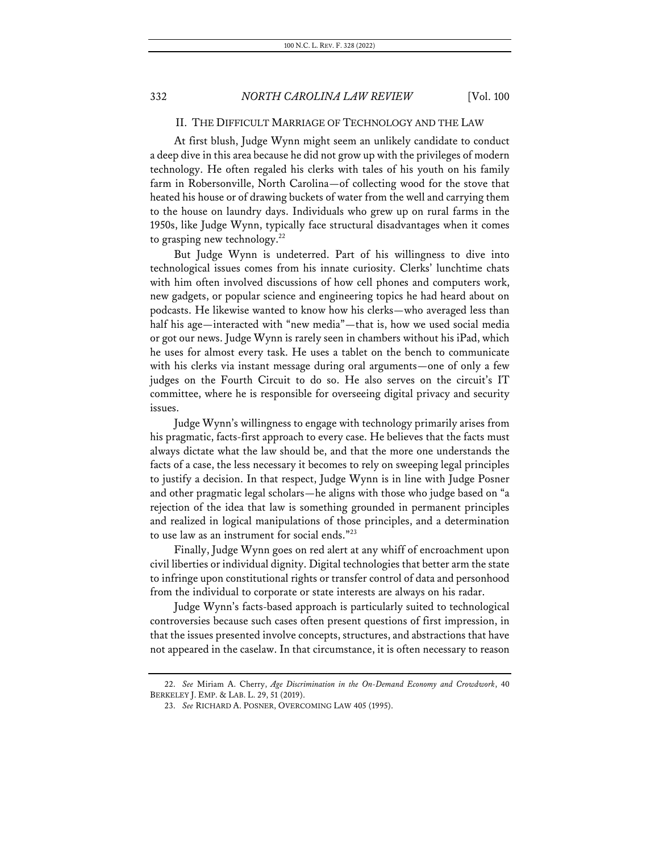### II. THE DIFFICULT MARRIAGE OF TECHNOLOGY AND THE LAW

At first blush, Judge Wynn might seem an unlikely candidate to conduct a deep dive in this area because he did not grow up with the privileges of modern technology. He often regaled his clerks with tales of his youth on his family farm in Robersonville, North Carolina—of collecting wood for the stove that heated his house or of drawing buckets of water from the well and carrying them to the house on laundry days. Individuals who grew up on rural farms in the 1950s, like Judge Wynn, typically face structural disadvantages when it comes to grasping new technology. $^{22}$ 

But Judge Wynn is undeterred. Part of his willingness to dive into technological issues comes from his innate curiosity. Clerks' lunchtime chats with him often involved discussions of how cell phones and computers work, new gadgets, or popular science and engineering topics he had heard about on podcasts. He likewise wanted to know how his clerks—who averaged less than half his age—interacted with "new media"—that is, how we used social media or got our news. Judge Wynn is rarely seen in chambers without his iPad, which he uses for almost every task. He uses a tablet on the bench to communicate with his clerks via instant message during oral arguments—one of only a few judges on the Fourth Circuit to do so. He also serves on the circuit's IT committee, where he is responsible for overseeing digital privacy and security issues.

Judge Wynn's willingness to engage with technology primarily arises from his pragmatic, facts-first approach to every case. He believes that the facts must always dictate what the law should be, and that the more one understands the facts of a case, the less necessary it becomes to rely on sweeping legal principles to justify a decision. In that respect, Judge Wynn is in line with Judge Posner and other pragmatic legal scholars—he aligns with those who judge based on "a rejection of the idea that law is something grounded in permanent principles and realized in logical manipulations of those principles, and a determination to use law as an instrument for social ends."23

Finally, Judge Wynn goes on red alert at any whiff of encroachment upon civil liberties or individual dignity. Digital technologies that better arm the state to infringe upon constitutional rights or transfer control of data and personhood from the individual to corporate or state interests are always on his radar.

Judge Wynn's facts-based approach is particularly suited to technological controversies because such cases often present questions of first impression, in that the issues presented involve concepts, structures, and abstractions that have not appeared in the caselaw. In that circumstance, it is often necessary to reason

<sup>22.</sup> *See* Miriam A. Cherry, *Age Discrimination in the On-Demand Economy and Crowdwork*, 40 BERKELEY J. EMP. & LAB. L. 29, 51 (2019).

<sup>23.</sup> *See* RICHARD A. POSNER, OVERCOMING LAW 405 (1995).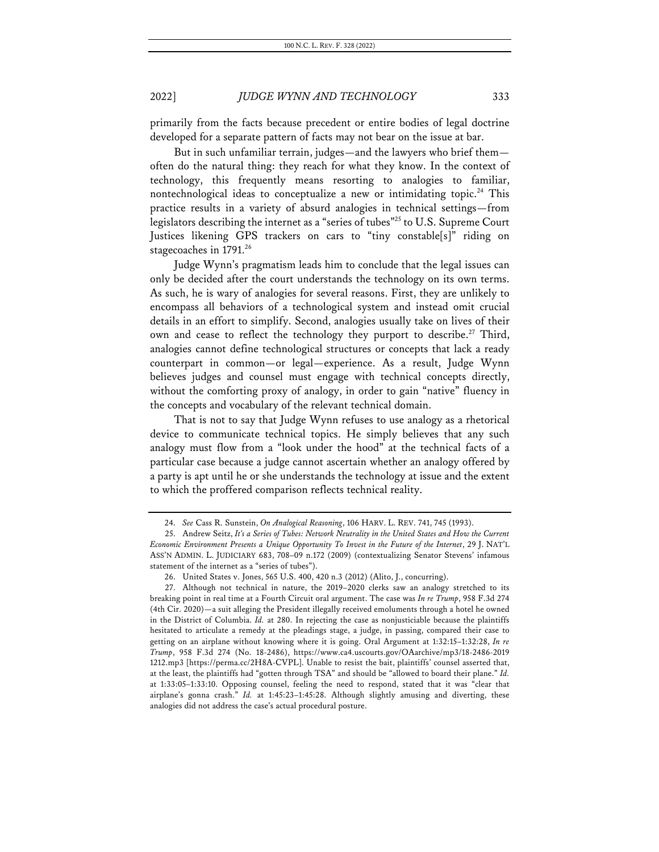primarily from the facts because precedent or entire bodies of legal doctrine developed for a separate pattern of facts may not bear on the issue at bar.

But in such unfamiliar terrain, judges—and the lawyers who brief them often do the natural thing: they reach for what they know. In the context of technology, this frequently means resorting to analogies to familiar, nontechnological ideas to conceptualize a new or intimidating topic.<sup>24</sup> This practice results in a variety of absurd analogies in technical settings—from legislators describing the internet as a "series of tubes"<sup>25</sup> to U.S. Supreme Court Justices likening GPS trackers on cars to "tiny constable[s]" riding on stagecoaches in 1791.26

Judge Wynn's pragmatism leads him to conclude that the legal issues can only be decided after the court understands the technology on its own terms. As such, he is wary of analogies for several reasons. First, they are unlikely to encompass all behaviors of a technological system and instead omit crucial details in an effort to simplify. Second, analogies usually take on lives of their own and cease to reflect the technology they purport to describe.<sup>27</sup> Third, analogies cannot define technological structures or concepts that lack a ready counterpart in common—or legal—experience. As a result, Judge Wynn believes judges and counsel must engage with technical concepts directly, without the comforting proxy of analogy, in order to gain "native" fluency in the concepts and vocabulary of the relevant technical domain.

That is not to say that Judge Wynn refuses to use analogy as a rhetorical device to communicate technical topics. He simply believes that any such analogy must flow from a "look under the hood" at the technical facts of a particular case because a judge cannot ascertain whether an analogy offered by a party is apt until he or she understands the technology at issue and the extent to which the proffered comparison reflects technical reality.

<sup>24.</sup> *See* Cass R. Sunstein, *On Analogical Reasoning*, 106 HARV. L. REV. 741, 745 (1993).

<sup>25.</sup> Andrew Seitz, *It's a Series of Tubes: Network Neutrality in the United States and How the Current Economic Environment Presents a Unique Opportunity To Invest in the Future of the Internet*, 29 J. NAT'L ASS'N ADMIN. L. JUDICIARY 683, 708–09 n.172 (2009) (contextualizing Senator Stevens' infamous statement of the internet as a "series of tubes").

<sup>26.</sup> United States v. Jones, 565 U.S. 400, 420 n.3 (2012) (Alito, J., concurring).

<sup>27.</sup> Although not technical in nature, the 2019–2020 clerks saw an analogy stretched to its breaking point in real time at a Fourth Circuit oral argument. The case was *In re Trump*, 958 F.3d 274 (4th Cir. 2020)—a suit alleging the President illegally received emoluments through a hotel he owned in the District of Columbia. *Id.* at 280. In rejecting the case as nonjusticiable because the plaintiffs hesitated to articulate a remedy at the pleadings stage, a judge, in passing, compared their case to getting on an airplane without knowing where it is going. Oral Argument at 1:32:15–1:32:28, *In re Trump*, 958 F.3d 274 (No. 18-2486), https://www.ca4.uscourts.gov/OAarchive/mp3/18-2486-2019 1212.mp3 [https://perma.cc/2H8A-CVPL]. Unable to resist the bait, plaintiffs' counsel asserted that, at the least, the plaintiffs had "gotten through TSA" and should be "allowed to board their plane." *Id.* at 1:33:05–1:33:10. Opposing counsel, feeling the need to respond, stated that it was "clear that airplane's gonna crash." *Id.* at 1:45:23–1:45:28. Although slightly amusing and diverting, these analogies did not address the case's actual procedural posture.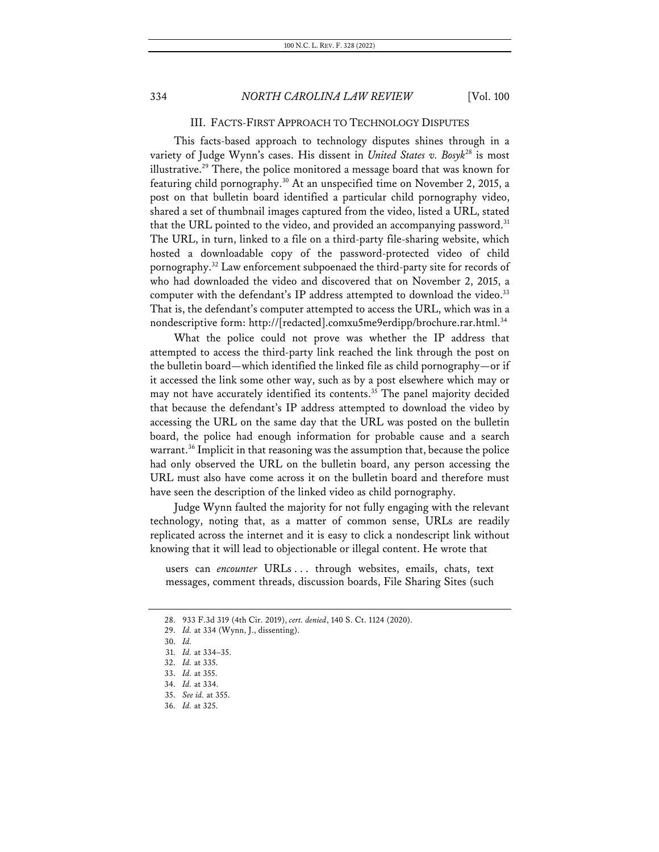### III. FACTS-FIRST APPROACH TO TECHNOLOGY DISPUTES

This facts-based approach to technology disputes shines through in a variety of Judge Wynn's cases. His dissent in *United States v. Bosyk*<sup>28</sup> is most illustrative.<sup>29</sup> There, the police monitored a message board that was known for featuring child pornography.<sup>30</sup> At an unspecified time on November 2, 2015, a post on that bulletin board identified a particular child pornography video, shared a set of thumbnail images captured from the video, listed a URL, stated that the URL pointed to the video, and provided an accompanying password.<sup>31</sup> The URL, in turn, linked to a file on a third-party file-sharing website, which hosted a downloadable copy of the password-protected video of child pornography.32 Law enforcement subpoenaed the third-party site for records of who had downloaded the video and discovered that on November 2, 2015, a computer with the defendant's IP address attempted to download the video.<sup>33</sup> That is, the defendant's computer attempted to access the URL, which was in a nondescriptive form: http://[redacted].comxu5me9erdipp/brochure.rar.html.<sup>34</sup>

What the police could not prove was whether the IP address that attempted to access the third-party link reached the link through the post on the bulletin board—which identified the linked file as child pornography—or if it accessed the link some other way, such as by a post elsewhere which may or may not have accurately identified its contents.<sup>35</sup> The panel majority decided that because the defendant's IP address attempted to download the video by accessing the URL on the same day that the URL was posted on the bulletin board, the police had enough information for probable cause and a search warrant.<sup>36</sup> Implicit in that reasoning was the assumption that, because the police had only observed the URL on the bulletin board, any person accessing the URL must also have come across it on the bulletin board and therefore must have seen the description of the linked video as child pornography.

Judge Wynn faulted the majority for not fully engaging with the relevant technology, noting that, as a matter of common sense, URLs are readily replicated across the internet and it is easy to click a nondescript link without knowing that it will lead to objectionable or illegal content. He wrote that

users can *encounter* URLs . . . through websites, emails, chats, text messages, comment threads, discussion boards, File Sharing Sites (such

<sup>28.</sup> 933 F.3d 319 (4th Cir. 2019), *cert. denied*, 140 S. Ct. 1124 (2020).

<sup>29.</sup> *Id.* at 334 (Wynn, J., dissenting).

<sup>30.</sup> *Id.*

<sup>31.</sup> *Id.* at 334–35.

<sup>32.</sup> *Id.* at 335.

<sup>33.</sup> *Id.* at 355.

<sup>34.</sup> *Id.* at 334.

<sup>35.</sup> *See id.* at 355.

<sup>36.</sup> *Id.* at 325.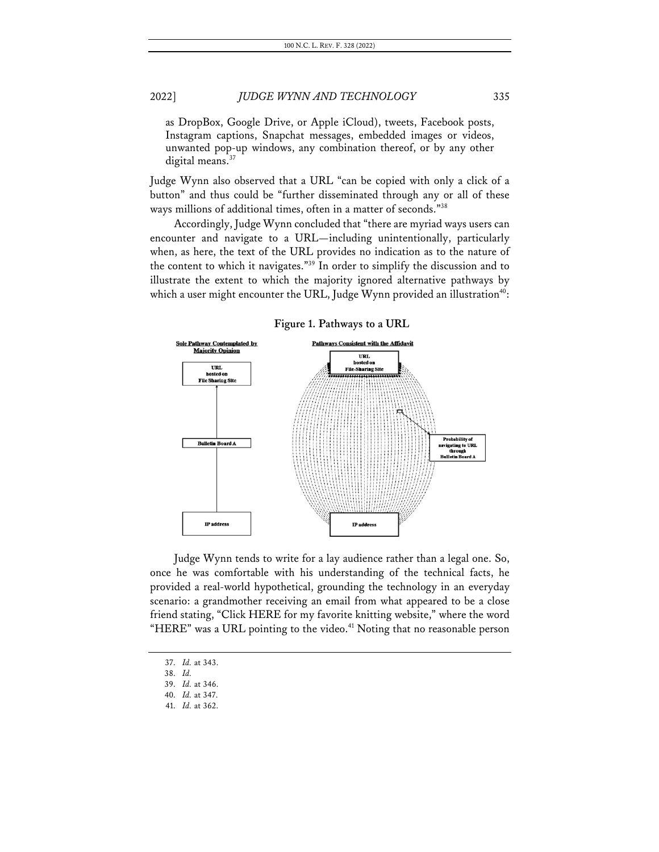as DropBox, Google Drive, or Apple iCloud), tweets, Facebook posts, Instagram captions, Snapchat messages, embedded images or videos, unwanted pop-up windows, any combination thereof, or by any other digital means. $37$ 

Judge Wynn also observed that a URL "can be copied with only a click of a button" and thus could be "further disseminated through any or all of these ways millions of additional times, often in a matter of seconds."38

Accordingly, Judge Wynn concluded that "there are myriad ways users can encounter and navigate to a URL—including unintentionally, particularly when, as here, the text of the URL provides no indication as to the nature of the content to which it navigates."39 In order to simplify the discussion and to illustrate the extent to which the majority ignored alternative pathways by which a user might encounter the URL, Judge Wynn provided an illustration<sup>40</sup>:



Judge Wynn tends to write for a lay audience rather than a legal one. So, once he was comfortable with his understanding of the technical facts, he provided a real-world hypothetical, grounding the technology in an everyday scenario: a grandmother receiving an email from what appeared to be a close friend stating, "Click HERE for my favorite knitting website," where the word "HERE" was a URL pointing to the video.<sup>41</sup> Noting that no reasonable person

<sup>37.</sup> *Id.* at 343.

<sup>38.</sup> *Id.*

<sup>39.</sup> *Id.* at 346.

<sup>40.</sup> *Id.* at 347.

<sup>41.</sup> *Id.* at 362.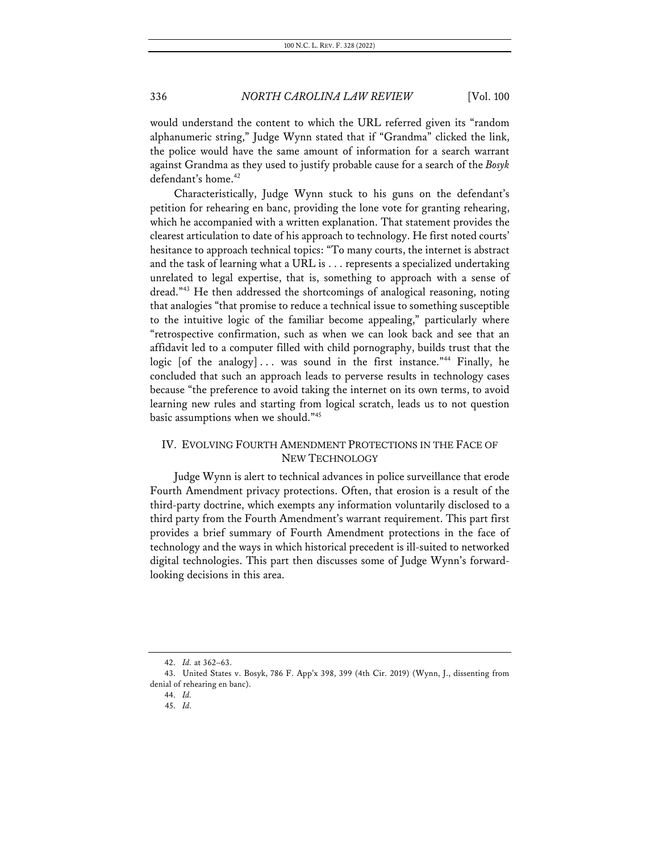would understand the content to which the URL referred given its "random alphanumeric string," Judge Wynn stated that if "Grandma" clicked the link, the police would have the same amount of information for a search warrant against Grandma as they used to justify probable cause for a search of the *Bosyk*  defendant's home.<sup>42</sup>

Characteristically, Judge Wynn stuck to his guns on the defendant's petition for rehearing en banc, providing the lone vote for granting rehearing, which he accompanied with a written explanation. That statement provides the clearest articulation to date of his approach to technology. He first noted courts' hesitance to approach technical topics: "To many courts, the internet is abstract and the task of learning what a URL is . . . represents a specialized undertaking unrelated to legal expertise, that is, something to approach with a sense of dread."43 He then addressed the shortcomings of analogical reasoning, noting that analogies "that promise to reduce a technical issue to something susceptible to the intuitive logic of the familiar become appealing," particularly where "retrospective confirmation, such as when we can look back and see that an affidavit led to a computer filled with child pornography, builds trust that the logic [of the analogy] ... was sound in the first instance."<sup>44</sup> Finally, he concluded that such an approach leads to perverse results in technology cases because "the preference to avoid taking the internet on its own terms, to avoid learning new rules and starting from logical scratch, leads us to not question basic assumptions when we should."45

# IV. EVOLVING FOURTH AMENDMENT PROTECTIONS IN THE FACE OF NEW TECHNOLOGY

Judge Wynn is alert to technical advances in police surveillance that erode Fourth Amendment privacy protections. Often, that erosion is a result of the third-party doctrine, which exempts any information voluntarily disclosed to a third party from the Fourth Amendment's warrant requirement. This part first provides a brief summary of Fourth Amendment protections in the face of technology and the ways in which historical precedent is ill-suited to networked digital technologies. This part then discusses some of Judge Wynn's forwardlooking decisions in this area.

<sup>42.</sup> *Id.* at 362–63.

<sup>43.</sup> United States v. Bosyk, 786 F. App'x 398, 399 (4th Cir. 2019) (Wynn, J., dissenting from denial of rehearing en banc).

<sup>44.</sup> *Id.*

<sup>45.</sup> *Id.*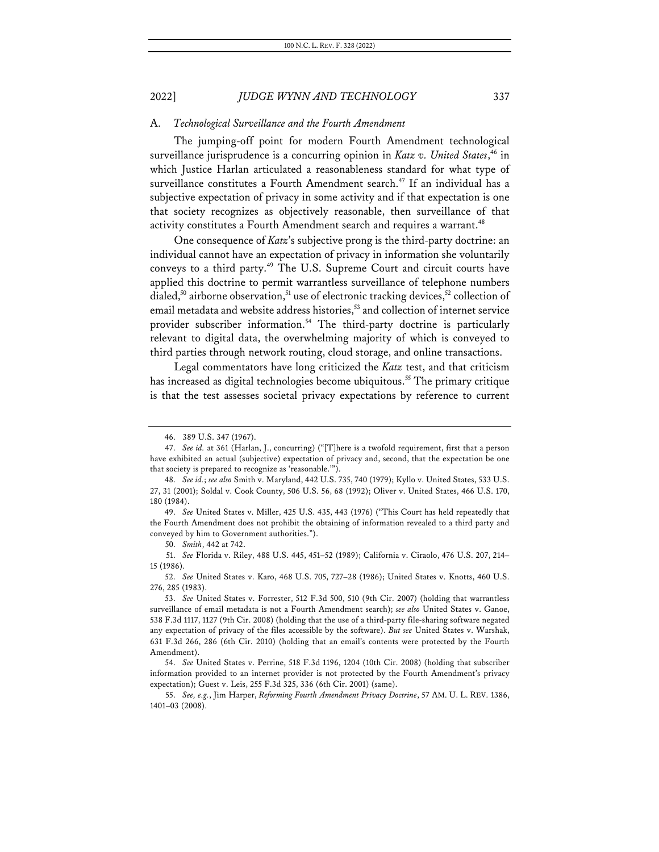#### A. *Technological Surveillance and the Fourth Amendment*

The jumping-off point for modern Fourth Amendment technological surveillance jurisprudence is a concurring opinion in *Katz v. United States*, <sup>46</sup> in which Justice Harlan articulated a reasonableness standard for what type of surveillance constitutes a Fourth Amendment search.<sup>47</sup> If an individual has a subjective expectation of privacy in some activity and if that expectation is one that society recognizes as objectively reasonable, then surveillance of that activity constitutes a Fourth Amendment search and requires a warrant.<sup>48</sup>

One consequence of *Katz*'s subjective prong is the third-party doctrine: an individual cannot have an expectation of privacy in information she voluntarily conveys to a third party.<sup>49</sup> The U.S. Supreme Court and circuit courts have applied this doctrine to permit warrantless surveillance of telephone numbers dialed,<sup>50</sup> airborne observation,<sup>51</sup> use of electronic tracking devices,<sup>52</sup> collection of email metadata and website address histories,<sup>53</sup> and collection of internet service provider subscriber information.<sup>54</sup> The third-party doctrine is particularly relevant to digital data, the overwhelming majority of which is conveyed to third parties through network routing, cloud storage, and online transactions.

Legal commentators have long criticized the *Katz* test, and that criticism has increased as digital technologies become ubiquitous.<sup>55</sup> The primary critique is that the test assesses societal privacy expectations by reference to current

50. *Smith*, 442 at 742.

51. *See* Florida v. Riley, 488 U.S. 445, 451–52 (1989); California v. Ciraolo, 476 U.S. 207, 214– 15 (1986).

<sup>46.</sup> 389 U.S. 347 (1967).

<sup>47.</sup> *See id.* at 361 (Harlan, J., concurring) ("[T]here is a twofold requirement, first that a person have exhibited an actual (subjective) expectation of privacy and, second, that the expectation be one that society is prepared to recognize as 'reasonable.'").

<sup>48.</sup> *See id.*; *see also* Smith v. Maryland, 442 U.S. 735, 740 (1979); Kyllo v. United States, 533 U.S. 27, 31 (2001); Soldal v. Cook County, 506 U.S. 56, 68 (1992); Oliver v. United States, 466 U.S. 170, 180 (1984).

<sup>49.</sup> *See* United States v. Miller, 425 U.S. 435, 443 (1976) ("This Court has held repeatedly that the Fourth Amendment does not prohibit the obtaining of information revealed to a third party and conveyed by him to Government authorities.").

<sup>52.</sup> *See* United States v. Karo, 468 U.S. 705, 727–28 (1986); United States v. Knotts, 460 U.S. 276, 285 (1983).

<sup>53.</sup> *See* United States v. Forrester, 512 F.3d 500, 510 (9th Cir. 2007) (holding that warrantless surveillance of email metadata is not a Fourth Amendment search); *see also* United States v. Ganoe, 538 F.3d 1117, 1127 (9th Cir. 2008) (holding that the use of a third-party file-sharing software negated any expectation of privacy of the files accessible by the software). *But see* United States v. Warshak, 631 F.3d 266, 286 (6th Cir. 2010) (holding that an email's contents were protected by the Fourth Amendment).

<sup>54.</sup> *See* United States v. Perrine, 518 F.3d 1196, 1204 (10th Cir. 2008) (holding that subscriber information provided to an internet provider is not protected by the Fourth Amendment's privacy expectation); Guest v. Leis, 255 F.3d 325, 336 (6th Cir. 2001) (same).

<sup>55.</sup> *See, e.g.*, Jim Harper, *Reforming Fourth Amendment Privacy Doctrine*, 57 AM. U. L. REV. 1386, 1401–03 (2008).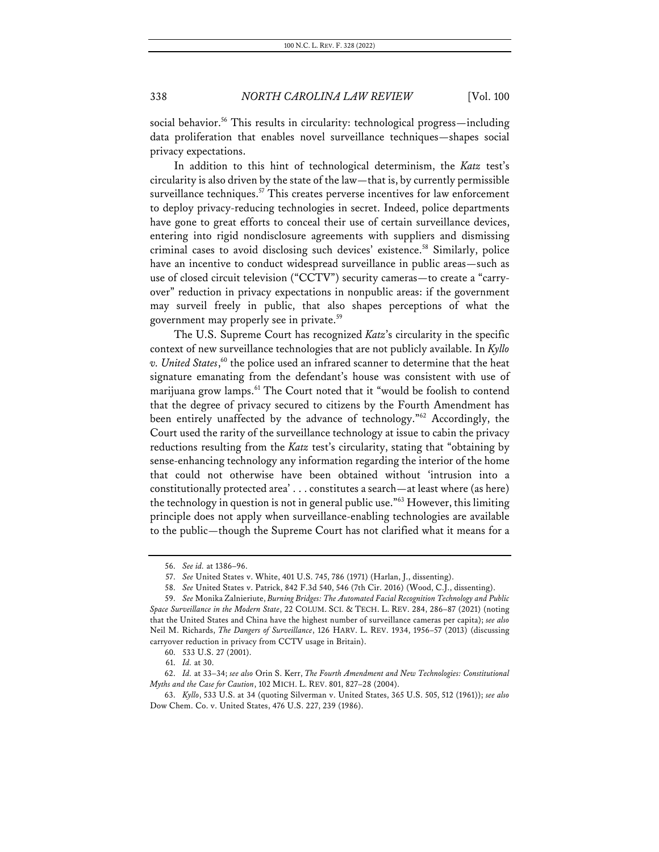social behavior.<sup>56</sup> This results in circularity: technological progress—including data proliferation that enables novel surveillance techniques—shapes social privacy expectations.

In addition to this hint of technological determinism, the *Katz* test's circularity is also driven by the state of the law—that is, by currently permissible surveillance techniques. $57$  This creates perverse incentives for law enforcement to deploy privacy-reducing technologies in secret. Indeed, police departments have gone to great efforts to conceal their use of certain surveillance devices, entering into rigid nondisclosure agreements with suppliers and dismissing criminal cases to avoid disclosing such devices' existence.58 Similarly, police have an incentive to conduct widespread surveillance in public areas—such as use of closed circuit television ("CCTV") security cameras—to create a "carryover" reduction in privacy expectations in nonpublic areas: if the government may surveil freely in public, that also shapes perceptions of what the government may properly see in private.<sup>59</sup>

The U.S. Supreme Court has recognized *Katz*'s circularity in the specific context of new surveillance technologies that are not publicly available. In *Kyllo v. United States*, <sup>60</sup> the police used an infrared scanner to determine that the heat signature emanating from the defendant's house was consistent with use of marijuana grow lamps.<sup>61</sup> The Court noted that it "would be foolish to contend that the degree of privacy secured to citizens by the Fourth Amendment has been entirely unaffected by the advance of technology."<sup>62</sup> Accordingly, the Court used the rarity of the surveillance technology at issue to cabin the privacy reductions resulting from the *Katz* test's circularity, stating that "obtaining by sense-enhancing technology any information regarding the interior of the home that could not otherwise have been obtained without 'intrusion into a constitutionally protected area' . . . constitutes a search—at least where (as here) the technology in question is not in general public use."63 However, this limiting principle does not apply when surveillance-enabling technologies are available to the public—though the Supreme Court has not clarified what it means for a

<sup>56.</sup> *See id.* at 1386–96.

<sup>57.</sup> *See* United States v. White, 401 U.S. 745, 786 (1971) (Harlan, J., dissenting).

<sup>58.</sup> *See* United States v. Patrick, 842 F.3d 540, 546 (7th Cir. 2016) (Wood, C.J., dissenting).

<sup>59.</sup> *See* Monika Zalnieriute, *Burning Bridges: The Automated Facial Recognition Technology and Public Space Surveillance in the Modern State*, 22 COLUM. SCI. & TECH. L. REV. 284, 286–87 (2021) (noting that the United States and China have the highest number of surveillance cameras per capita); *see also*  Neil M. Richards, *The Dangers of Surveillance*, 126 HARV. L. REV. 1934, 1956–57 (2013) (discussing carryover reduction in privacy from CCTV usage in Britain).

<sup>60.</sup> 533 U.S. 27 (2001).

<sup>61.</sup> *Id.* at 30.

<sup>62.</sup> *Id.* at 33–34; *see also* Orin S. Kerr, *The Fourth Amendment and New Technologies: Constitutional Myths and the Case for Caution*, 102 MICH. L. REV. 801, 827–28 (2004).

<sup>63.</sup> *Kyllo*, 533 U.S. at 34 (quoting Silverman v. United States, 365 U.S. 505, 512 (1961)); *see also* Dow Chem. Co. v. United States, 476 U.S. 227, 239 (1986).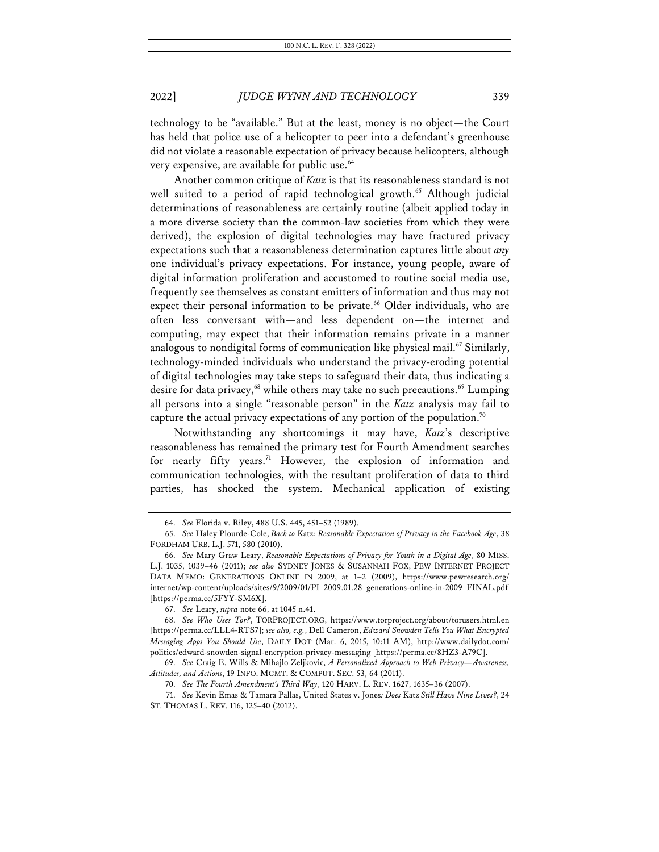technology to be "available." But at the least, money is no object—the Court has held that police use of a helicopter to peer into a defendant's greenhouse did not violate a reasonable expectation of privacy because helicopters, although very expensive, are available for public use.<sup>64</sup>

Another common critique of *Katz* is that its reasonableness standard is not well suited to a period of rapid technological growth.<sup>65</sup> Although judicial determinations of reasonableness are certainly routine (albeit applied today in a more diverse society than the common-law societies from which they were derived), the explosion of digital technologies may have fractured privacy expectations such that a reasonableness determination captures little about *any* one individual's privacy expectations. For instance, young people, aware of digital information proliferation and accustomed to routine social media use, frequently see themselves as constant emitters of information and thus may not expect their personal information to be private.<sup>66</sup> Older individuals, who are often less conversant with—and less dependent on—the internet and computing, may expect that their information remains private in a manner analogous to nondigital forms of communication like physical mail.<sup>67</sup> Similarly, technology-minded individuals who understand the privacy-eroding potential of digital technologies may take steps to safeguard their data, thus indicating a desire for data privacy,<sup>68</sup> while others may take no such precautions.<sup>69</sup> Lumping all persons into a single "reasonable person" in the *Katz* analysis may fail to capture the actual privacy expectations of any portion of the population.<sup>70</sup>

Notwithstanding any shortcomings it may have, *Katz*'s descriptive reasonableness has remained the primary test for Fourth Amendment searches for nearly fifty years.<sup>71</sup> However, the explosion of information and communication technologies, with the resultant proliferation of data to third parties, has shocked the system. Mechanical application of existing

<sup>64.</sup> *See* Florida v. Riley, 488 U.S. 445, 451–52 (1989).

<sup>65.</sup> *See* Haley Plourde-Cole, *Back to* Katz*: Reasonable Expectation of Privacy in the Facebook Age*, 38 FORDHAM URB. L.J. 571, 580 (2010).

<sup>66.</sup> *See* Mary Graw Leary, *Reasonable Expectations of Privacy for Youth in a Digital Age*, 80 MISS. L.J. 1035, 1039–46 (2011); *see also* SYDNEY JONES & SUSANNAH FOX, PEW INTERNET PROJECT DATA MEMO: GENERATIONS ONLINE IN 2009, at 1–2 (2009), https://www.pewresearch.org/ internet/wp-content/uploads/sites/9/2009/01/PI\_2009.01.28\_generations-online-in-2009\_FINAL.pdf [https://perma.cc/5FYY-SM6X].

<sup>67.</sup> *See* Leary, *supra* note 66, at 1045 n.41.

<sup>68.</sup> *See Who Uses Tor?*, TORPROJECT.ORG, https://www.torproject.org/about/torusers.html.en [https://perma.cc/LLL4-RTS7]; *see also, e.g.*, Dell Cameron, *Edward Snowden Tells You What Encrypted Messaging Apps You Should Use*, DAILY DOT (Mar. 6, 2015, 10:11 AM), http://www.dailydot.com/ politics/edward-snowden-signal-encryption-privacy-messaging [https://perma.cc/8HZ3-A79C].

<sup>69.</sup> *See* Craig E. Wills & Mihajlo Zeljkovic, *A Personalized Approach to Web Privacy—Awareness, Attitudes, and Actions*, 19 INFO. MGMT. & COMPUT. SEC. 53, 64 (2011).

<sup>70.</sup> *See The Fourth Amendment's Third Way*, 120 HARV. L. REV. 1627, 1635–36 (2007).

<sup>71.</sup> *See* Kevin Emas & Tamara Pallas, United States v. Jones*: Does* Katz *Still Have Nine Lives?*, 24 ST. THOMAS L. REV. 116, 125–40 (2012).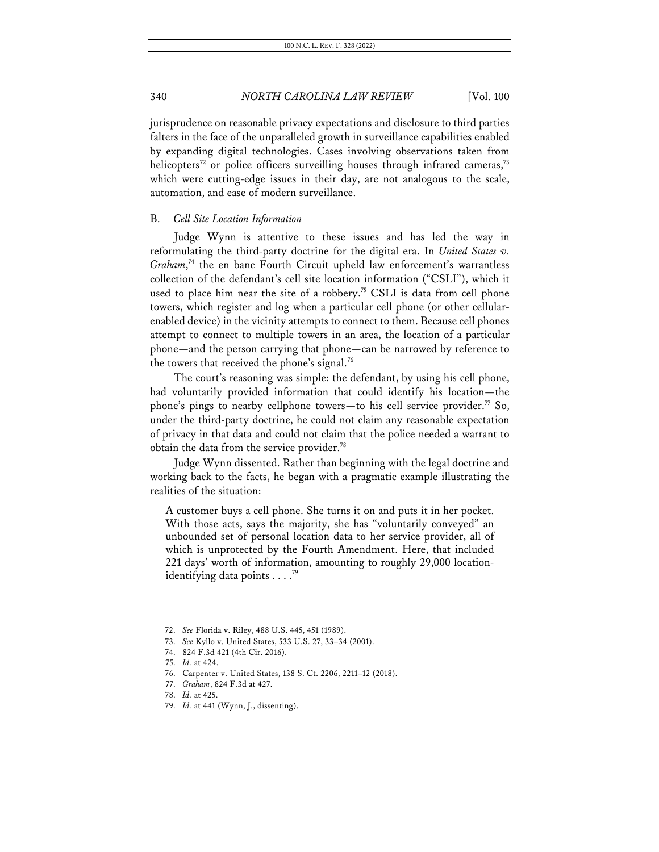jurisprudence on reasonable privacy expectations and disclosure to third parties falters in the face of the unparalleled growth in surveillance capabilities enabled by expanding digital technologies. Cases involving observations taken from helicopters<sup>72</sup> or police officers surveilling houses through infrared cameras,<sup>73</sup> which were cutting-edge issues in their day, are not analogous to the scale, automation, and ease of modern surveillance.

#### B. *Cell Site Location Information*

Judge Wynn is attentive to these issues and has led the way in reformulating the third-party doctrine for the digital era. In *United States v.*  Graham,<sup>74</sup> the en banc Fourth Circuit upheld law enforcement's warrantless collection of the defendant's cell site location information ("CSLI"), which it used to place him near the site of a robbery.<sup>75</sup> CSLI is data from cell phone towers, which register and log when a particular cell phone (or other cellularenabled device) in the vicinity attempts to connect to them. Because cell phones attempt to connect to multiple towers in an area, the location of a particular phone—and the person carrying that phone—can be narrowed by reference to the towers that received the phone's signal.<sup>76</sup>

The court's reasoning was simple: the defendant, by using his cell phone, had voluntarily provided information that could identify his location—the phone's pings to nearby cellphone towers—to his cell service provider.<sup>77</sup> So, under the third-party doctrine, he could not claim any reasonable expectation of privacy in that data and could not claim that the police needed a warrant to obtain the data from the service provider.<sup>78</sup>

Judge Wynn dissented. Rather than beginning with the legal doctrine and working back to the facts, he began with a pragmatic example illustrating the realities of the situation:

A customer buys a cell phone. She turns it on and puts it in her pocket. With those acts, says the majority, she has "voluntarily conveyed" an unbounded set of personal location data to her service provider, all of which is unprotected by the Fourth Amendment. Here, that included 221 days' worth of information, amounting to roughly 29,000 locationidentifying data points . . . . 79

<sup>72.</sup> *See* Florida v. Riley, 488 U.S. 445, 451 (1989).

<sup>73.</sup> *See* Kyllo v. United States, 533 U.S. 27, 33–34 (2001).

<sup>74.</sup> 824 F.3d 421 (4th Cir. 2016).

<sup>75.</sup> *Id.* at 424.

<sup>76.</sup> Carpenter v. United States, 138 S. Ct. 2206, 2211–12 (2018).

<sup>77.</sup> *Graham*, 824 F.3d at 427.

<sup>78.</sup> *Id.* at 425.

<sup>79.</sup> *Id.* at 441 (Wynn, J., dissenting).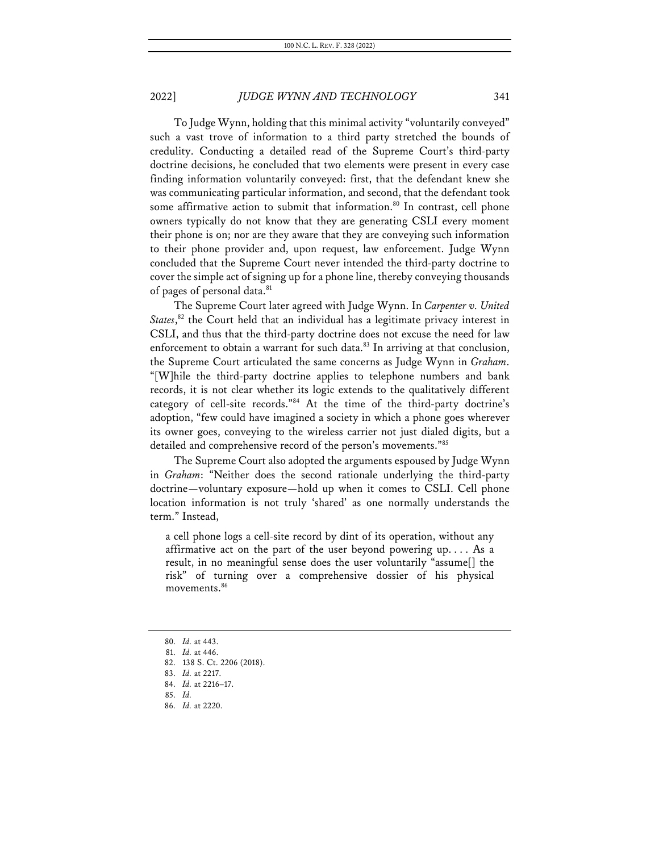To Judge Wynn, holding that this minimal activity "voluntarily conveyed" such a vast trove of information to a third party stretched the bounds of credulity. Conducting a detailed read of the Supreme Court's third-party doctrine decisions, he concluded that two elements were present in every case finding information voluntarily conveyed: first, that the defendant knew she was communicating particular information, and second, that the defendant took some affirmative action to submit that information.<sup>80</sup> In contrast, cell phone owners typically do not know that they are generating CSLI every moment their phone is on; nor are they aware that they are conveying such information to their phone provider and, upon request, law enforcement. Judge Wynn concluded that the Supreme Court never intended the third-party doctrine to cover the simple act of signing up for a phone line, thereby conveying thousands of pages of personal data.<sup>81</sup>

The Supreme Court later agreed with Judge Wynn. In *Carpenter v. United*  States,<sup>82</sup> the Court held that an individual has a legitimate privacy interest in CSLI, and thus that the third-party doctrine does not excuse the need for law enforcement to obtain a warrant for such data.<sup>83</sup> In arriving at that conclusion, the Supreme Court articulated the same concerns as Judge Wynn in *Graham*. "[W]hile the third-party doctrine applies to telephone numbers and bank records, it is not clear whether its logic extends to the qualitatively different category of cell-site records."84 At the time of the third-party doctrine's adoption, "few could have imagined a society in which a phone goes wherever its owner goes, conveying to the wireless carrier not just dialed digits, but a detailed and comprehensive record of the person's movements."85

The Supreme Court also adopted the arguments espoused by Judge Wynn in *Graham*: "Neither does the second rationale underlying the third-party doctrine—voluntary exposure—hold up when it comes to CSLI. Cell phone location information is not truly 'shared' as one normally understands the term." Instead,

a cell phone logs a cell-site record by dint of its operation, without any affirmative act on the part of the user beyond powering up. . . . As a result, in no meaningful sense does the user voluntarily "assume[] the risk" of turning over a comprehensive dossier of his physical movements.<sup>86</sup>

<sup>80.</sup> *Id.* at 443.

<sup>81.</sup> *Id.* at 446.

<sup>82.</sup> 138 S. Ct. 2206 (2018).

<sup>83.</sup> *Id.* at 2217.

<sup>84.</sup> *Id.* at 2216–17.

<sup>85.</sup> *Id.*

<sup>86.</sup> *Id.* at 2220.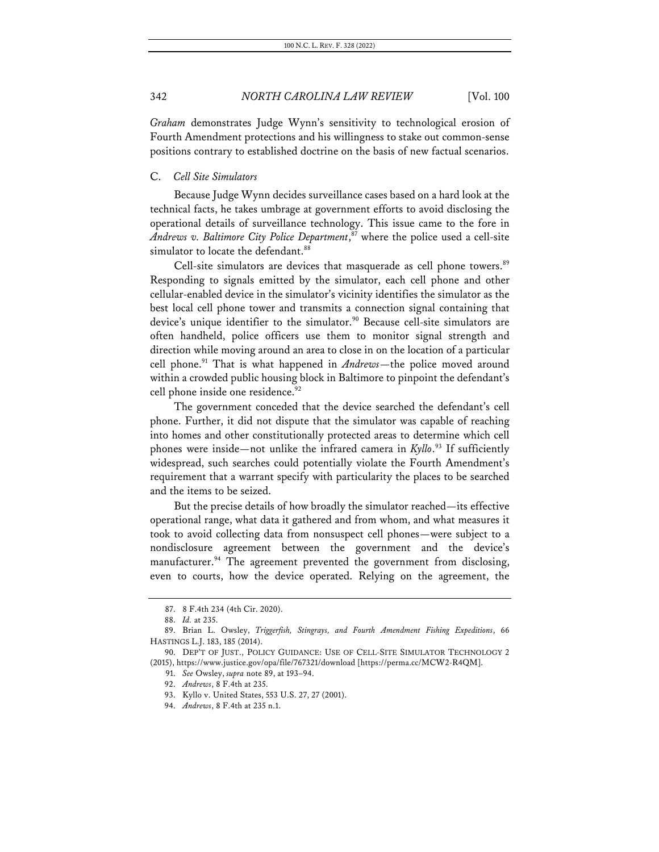*Graham* demonstrates Judge Wynn's sensitivity to technological erosion of Fourth Amendment protections and his willingness to stake out common-sense positions contrary to established doctrine on the basis of new factual scenarios.

#### C. *Cell Site Simulators*

Because Judge Wynn decides surveillance cases based on a hard look at the technical facts, he takes umbrage at government efforts to avoid disclosing the operational details of surveillance technology. This issue came to the fore in *Andrews v. Baltimore City Police Department*, <sup>87</sup> where the police used a cell-site simulator to locate the defendant.<sup>88</sup>

Cell-site simulators are devices that masquerade as cell phone towers.<sup>89</sup> Responding to signals emitted by the simulator, each cell phone and other cellular-enabled device in the simulator's vicinity identifies the simulator as the best local cell phone tower and transmits a connection signal containing that device's unique identifier to the simulator.<sup>90</sup> Because cell-site simulators are often handheld, police officers use them to monitor signal strength and direction while moving around an area to close in on the location of a particular cell phone.91 That is what happened in *Andrews*—the police moved around within a crowded public housing block in Baltimore to pinpoint the defendant's cell phone inside one residence.<sup>92</sup>

The government conceded that the device searched the defendant's cell phone. Further, it did not dispute that the simulator was capable of reaching into homes and other constitutionally protected areas to determine which cell phones were inside—not unlike the infrared camera in *Kyllo*. <sup>93</sup> If sufficiently widespread, such searches could potentially violate the Fourth Amendment's requirement that a warrant specify with particularity the places to be searched and the items to be seized.

But the precise details of how broadly the simulator reached—its effective operational range, what data it gathered and from whom, and what measures it took to avoid collecting data from nonsuspect cell phones—were subject to a nondisclosure agreement between the government and the device's manufacturer.<sup>94</sup> The agreement prevented the government from disclosing, even to courts, how the device operated. Relying on the agreement, the

<sup>87.</sup> 8 F.4th 234 (4th Cir. 2020).

<sup>88.</sup> *Id.* at 235.

<sup>89.</sup> Brian L. Owsley, *Triggerfish, Stingrays, and Fourth Amendment Fishing Expeditions*, 66 HASTINGS L.J. 183, 185 (2014).

<sup>90.</sup> DEP'T OF JUST., POLICY GUIDANCE: USE OF CELL-SITE SIMULATOR TECHNOLOGY 2 (2015), https://www.justice.gov/opa/file/767321/download [https://perma.cc/MCW2-R4QM].

<sup>91.</sup> *See* Owsley, *supra* note 89, at 193–94.

<sup>92.</sup> *Andrews*, 8 F.4th at 235.

<sup>93.</sup> Kyllo v. United States, 553 U.S. 27, 27 (2001).

<sup>94.</sup> *Andrews*, 8 F.4th at 235 n.1.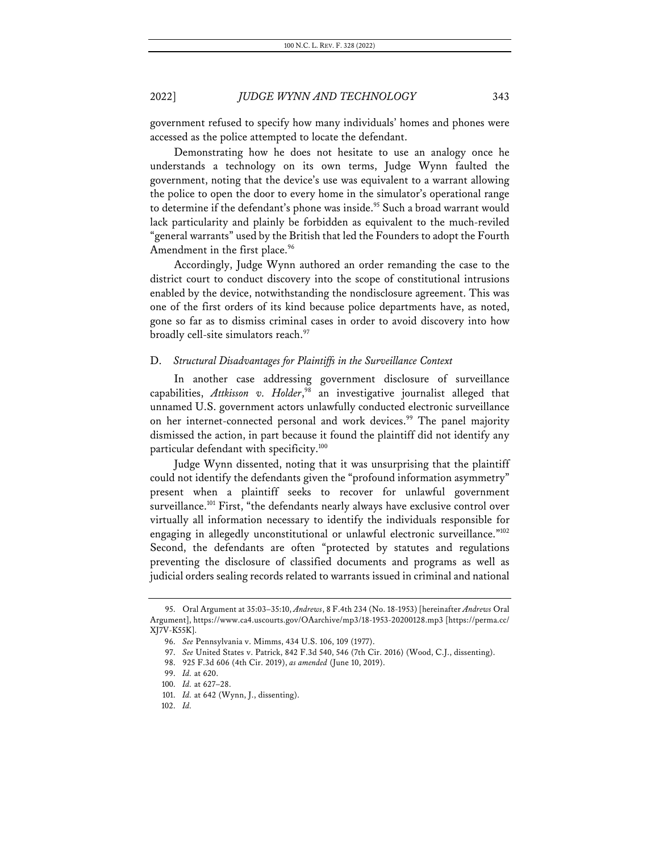government refused to specify how many individuals' homes and phones were accessed as the police attempted to locate the defendant.

Demonstrating how he does not hesitate to use an analogy once he understands a technology on its own terms, Judge Wynn faulted the government, noting that the device's use was equivalent to a warrant allowing the police to open the door to every home in the simulator's operational range to determine if the defendant's phone was inside.<sup>95</sup> Such a broad warrant would lack particularity and plainly be forbidden as equivalent to the much-reviled "general warrants" used by the British that led the Founders to adopt the Fourth Amendment in the first place.<sup>96</sup>

Accordingly, Judge Wynn authored an order remanding the case to the district court to conduct discovery into the scope of constitutional intrusions enabled by the device, notwithstanding the nondisclosure agreement. This was one of the first orders of its kind because police departments have, as noted, gone so far as to dismiss criminal cases in order to avoid discovery into how broadly cell-site simulators reach.<sup>97</sup>

#### D. *Structural Disadvantages for Plaintiffs in the Surveillance Context*

In another case addressing government disclosure of surveillance capabilities, *Attkisson v. Holder*, <sup>98</sup> an investigative journalist alleged that unnamed U.S. government actors unlawfully conducted electronic surveillance on her internet-connected personal and work devices.<sup>99</sup> The panel majority dismissed the action, in part because it found the plaintiff did not identify any particular defendant with specificity.<sup>100</sup>

Judge Wynn dissented, noting that it was unsurprising that the plaintiff could not identify the defendants given the "profound information asymmetry" present when a plaintiff seeks to recover for unlawful government surveillance.<sup>101</sup> First, "the defendants nearly always have exclusive control over virtually all information necessary to identify the individuals responsible for engaging in allegedly unconstitutional or unlawful electronic surveillance."<sup>102</sup> Second, the defendants are often "protected by statutes and regulations preventing the disclosure of classified documents and programs as well as judicial orders sealing records related to warrants issued in criminal and national

<sup>95.</sup> Oral Argument at 35:03–35:10, *Andrews*, 8 F.4th 234 (No. 18-1953) [hereinafter *Andrews* Oral Argument], https://www.ca4.uscourts.gov/OAarchive/mp3/18-1953-20200128.mp3 [https://perma.cc/ XJ7V-K55K].

<sup>96.</sup> *See* Pennsylvania v. Mimms, 434 U.S. 106, 109 (1977).

<sup>97.</sup> *See* United States v. Patrick, 842 F.3d 540, 546 (7th Cir. 2016) (Wood, C.J., dissenting).

<sup>98.</sup> 925 F.3d 606 (4th Cir. 2019), *as amended* (June 10, 2019).

<sup>99.</sup> *Id.* at 620.

<sup>100.</sup> *Id.* at 627–28.

<sup>101.</sup> *Id.* at 642 (Wynn, J., dissenting).

<sup>102.</sup> *Id.*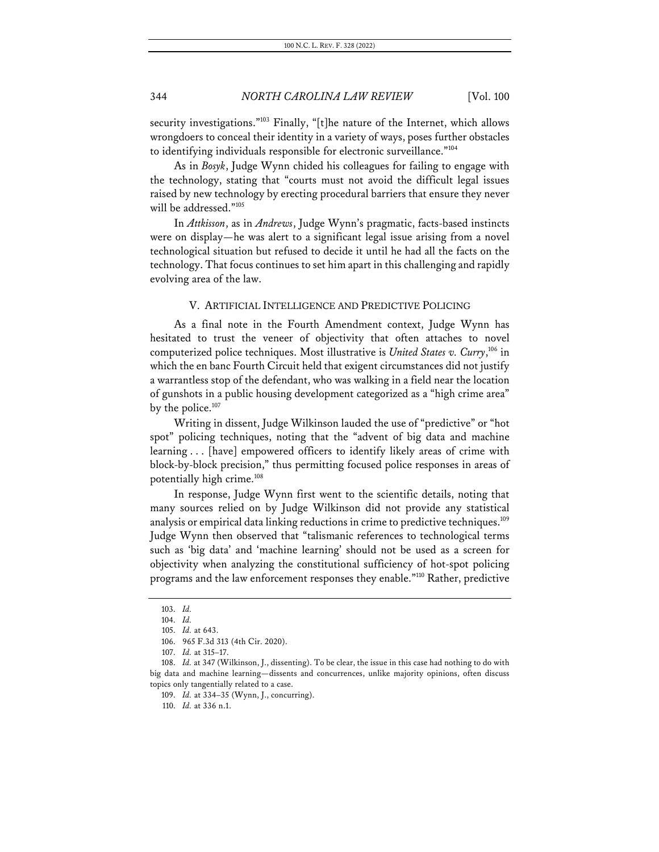security investigations."<sup>103</sup> Finally, "[t]he nature of the Internet, which allows wrongdoers to conceal their identity in a variety of ways, poses further obstacles to identifying individuals responsible for electronic surveillance."104

As in *Bosyk*, Judge Wynn chided his colleagues for failing to engage with the technology, stating that "courts must not avoid the difficult legal issues raised by new technology by erecting procedural barriers that ensure they never will be addressed."105

In *Attkisson*, as in *Andrews*, Judge Wynn's pragmatic, facts-based instincts were on display—he was alert to a significant legal issue arising from a novel technological situation but refused to decide it until he had all the facts on the technology. That focus continues to set him apart in this challenging and rapidly evolving area of the law.

### V. ARTIFICIAL INTELLIGENCE AND PREDICTIVE POLICING

As a final note in the Fourth Amendment context, Judge Wynn has hesitated to trust the veneer of objectivity that often attaches to novel computerized police techniques. Most illustrative is *United States v. Curry*, <sup>106</sup> in which the en banc Fourth Circuit held that exigent circumstances did not justify a warrantless stop of the defendant, who was walking in a field near the location of gunshots in a public housing development categorized as a "high crime area" by the police.<sup>107</sup>

Writing in dissent, Judge Wilkinson lauded the use of "predictive" or "hot spot" policing techniques, noting that the "advent of big data and machine learning . . . [have] empowered officers to identify likely areas of crime with block-by-block precision," thus permitting focused police responses in areas of potentially high crime.<sup>108</sup>

In response, Judge Wynn first went to the scientific details, noting that many sources relied on by Judge Wilkinson did not provide any statistical analysis or empirical data linking reductions in crime to predictive techniques.<sup>109</sup> Judge Wynn then observed that "talismanic references to technological terms such as 'big data' and 'machine learning' should not be used as a screen for objectivity when analyzing the constitutional sufficiency of hot-spot policing programs and the law enforcement responses they enable."110 Rather, predictive

<sup>103.</sup> *Id.*

<sup>104.</sup> *Id.*

<sup>105.</sup> *Id.* at 643.

<sup>106.</sup> 965 F.3d 313 (4th Cir. 2020).

<sup>107.</sup> *Id.* at 315–17.

<sup>108.</sup> *Id.* at 347 (Wilkinson, J., dissenting). To be clear, the issue in this case had nothing to do with big data and machine learning—dissents and concurrences, unlike majority opinions, often discuss topics only tangentially related to a case.

<sup>109.</sup> *Id.* at 334–35 (Wynn, J., concurring).

<sup>110.</sup> *Id.* at 336 n.1.